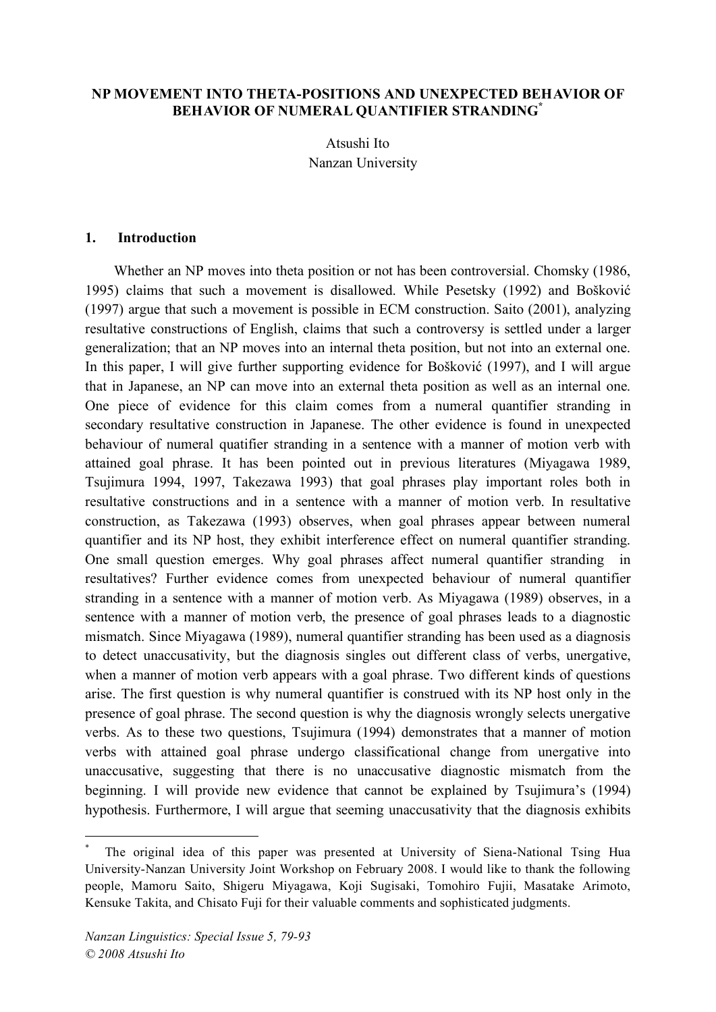#### **NP MOVEMENT INTO THETA-POSITIONS AND UNEXPECTED BEHAVIOR OF BEHAVIOR OF NUMERAL QUANTIFIER STRANDING\***

Atsushi Ito Nanzan University

#### **1. Introduction**

Whether an NP moves into theta position or not has been controversial. Chomsky (1986, 1995) claims that such a movement is disallowed. While Pesetsky (1992) and Bošković (1997) argue that such a movement is possible in ECM construction. Saito (2001), analyzing resultative constructions of English, claims that such a controversy is settled under a larger generalization; that an NP moves into an internal theta position, but not into an external one. In this paper, I will give further supporting evidence for Bošković (1997), and I will argue that in Japanese, an NP can move into an external theta position as well as an internal one. One piece of evidence for this claim comes from a numeral quantifier stranding in secondary resultative construction in Japanese. The other evidence is found in unexpected behaviour of numeral quatifier stranding in a sentence with a manner of motion verb with attained goal phrase. It has been pointed out in previous literatures (Miyagawa 1989, Tsujimura 1994, 1997, Takezawa 1993) that goal phrases play important roles both in resultative constructions and in a sentence with a manner of motion verb. In resultative construction, as Takezawa (1993) observes, when goal phrases appear between numeral quantifier and its NP host, they exhibit interference effect on numeral quantifier stranding. One small question emerges. Why goal phrases affect numeral quantifier stranding in resultatives? Further evidence comes from unexpected behaviour of numeral quantifier stranding in a sentence with a manner of motion verb. As Miyagawa (1989) observes, in a sentence with a manner of motion verb, the presence of goal phrases leads to a diagnostic mismatch. Since Miyagawa (1989), numeral quantifier stranding has been used as a diagnosis to detect unaccusativity, but the diagnosis singles out different class of verbs, unergative, when a manner of motion verb appears with a goal phrase. Two different kinds of questions arise. The first question is why numeral quantifier is construed with its NP host only in the presence of goal phrase. The second question is why the diagnosis wrongly selects unergative verbs. As to these two questions, Tsujimura (1994) demonstrates that a manner of motion verbs with attained goal phrase undergo classificational change from unergative into unaccusative, suggesting that there is no unaccusative diagnostic mismatch from the beginning. I will provide new evidence that cannot be explained by Tsujimura's (1994) hypothesis. Furthermore, I will argue that seeming unaccusativity that the diagnosis exhibits

The original idea of this paper was presented at University of Siena-National Tsing Hua University-Nanzan University Joint Workshop on February 2008. I would like to thank the following people, Mamoru Saito, Shigeru Miyagawa, Koji Sugisaki, Tomohiro Fujii, Masatake Arimoto, Kensuke Takita, and Chisato Fuji for their valuable comments and sophisticated judgments.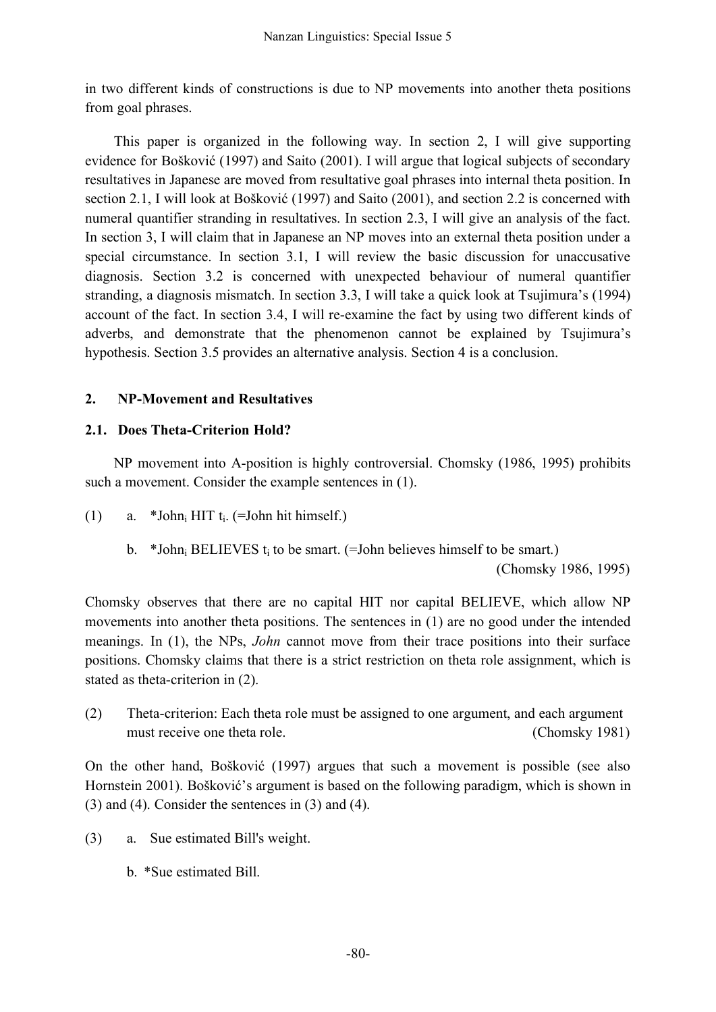in two different kinds of constructions is due to NP movements into another theta positions from goal phrases.

This paper is organized in the following way. In section 2, I will give supporting evidence for Bošković (1997) and Saito (2001). I will argue that logical subjects of secondary resultatives in Japanese are moved from resultative goal phrases into internal theta position. In section 2.1, I will look at Bošković (1997) and Saito (2001), and section 2.2 is concerned with numeral quantifier stranding in resultatives. In section 2.3, I will give an analysis of the fact. In section 3, I will claim that in Japanese an NP moves into an external theta position under a special circumstance. In section 3.1, I will review the basic discussion for unaccusative diagnosis. Section 3.2 is concerned with unexpected behaviour of numeral quantifier stranding, a diagnosis mismatch. In section 3.3, I will take a quick look at Tsujimura's (1994) account of the fact. In section 3.4, I will re-examine the fact by using two different kinds of adverbs, and demonstrate that the phenomenon cannot be explained by Tsujimura's hypothesis. Section 3.5 provides an alternative analysis. Section 4 is a conclusion.

# **2. NP-Movement and Resultatives**

## **2.1. Does Theta-Criterion Hold?**

NP movement into A-position is highly controversial. Chomsky (1986, 1995) prohibits such a movement. Consider the example sentences in  $(1)$ .

- (1) a. \*John<sub>i</sub> HIT  $t_i$ . (=John hit himself.)
	- b. \*John<sub>i</sub> BELIEVES t<sub>i</sub> to be smart.  $(=\text{John believes himself to be smart.})$

(Chomsky 1986, 1995)

Chomsky observes that there are no capital HIT nor capital BELIEVE, which allow NP movements into another theta positions. The sentences in (1) are no good under the intended meanings. In (1), the NPs, *John* cannot move from their trace positions into their surface positions. Chomsky claims that there is a strict restriction on theta role assignment, which is stated as theta-criterion in (2).

(2) Theta-criterion: Each theta role must be assigned to one argument, and each argument must receive one theta role. (Chomsky 1981)

On the other hand, Bošković (1997) argues that such a movement is possible (see also Hornstein 2001). Bošković's argument is based on the following paradigm, which is shown in (3) and (4). Consider the sentences in (3) and (4).

- (3) a. Sue estimated Bill's weight.
	- b. \*Sue estimated Bill.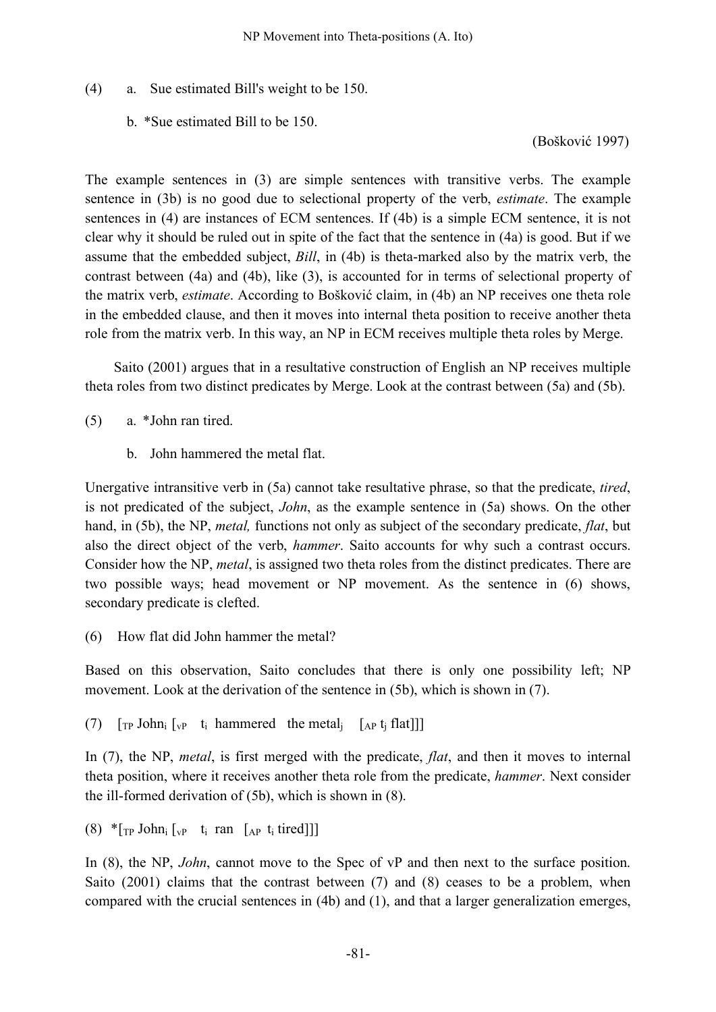## (4) a. Sue estimated Bill's weight to be 150.

b. \*Sue estimated Bill to be 150.

(Bošković 1997)

The example sentences in (3) are simple sentences with transitive verbs. The example sentence in (3b) is no good due to selectional property of the verb, *estimate*. The example sentences in (4) are instances of ECM sentences. If (4b) is a simple ECM sentence, it is not clear why it should be ruled out in spite of the fact that the sentence in (4a) is good. But if we assume that the embedded subject, *Bill*, in (4b) is theta-marked also by the matrix verb, the contrast between (4a) and (4b), like (3), is accounted for in terms of selectional property of the matrix verb, *estimate*. According to Bošković claim, in (4b) an NP receives one theta role in the embedded clause, and then it moves into internal theta position to receive another theta role from the matrix verb. In this way, an NP in ECM receives multiple theta roles by Merge.

Saito (2001) argues that in a resultative construction of English an NP receives multiple theta roles from two distinct predicates by Merge. Look at the contrast between (5a) and (5b).

- (5) a. \*John ran tired.
	- b. John hammered the metal flat.

Unergative intransitive verb in (5a) cannot take resultative phrase, so that the predicate, *tired*, is not predicated of the subject, *John*, as the example sentence in (5a) shows. On the other hand, in (5b), the NP, *metal,* functions not only as subject of the secondary predicate, *flat*, but also the direct object of the verb, *hammer*. Saito accounts for why such a contrast occurs. Consider how the NP, *metal*, is assigned two theta roles from the distinct predicates. There are two possible ways; head movement or NP movement. As the sentence in (6) shows, secondary predicate is clefted.

(6) How flat did John hammer the metal?

Based on this observation, Saito concludes that there is only one possibility left; NP movement. Look at the derivation of the sentence in (5b), which is shown in (7).

(7)  $\lceil \text{TP John}_i \rceil_{v}$  t<sub>i</sub> hammered the metal<sub>i</sub>  $\lceil \text{AP t}_i \rceil$  flat

In (7), the NP, *metal*, is first merged with the predicate, *flat*, and then it moves to internal theta position, where it receives another theta role from the predicate, *hammer*. Next consider the ill-formed derivation of (5b), which is shown in (8).

(8)  $*_{\lbrack \text{T}P}$  John<sub>i</sub>  $\lbrack_{\text{vP}}$  t<sub>i</sub> ran  $\lbrack_{\text{AP}}$  t<sub>i</sub> tired]]]

In (8), the NP, *John*, cannot move to the Spec of vP and then next to the surface position. Saito (2001) claims that the contrast between (7) and (8) ceases to be a problem, when compared with the crucial sentences in (4b) and (1), and that a larger generalization emerges,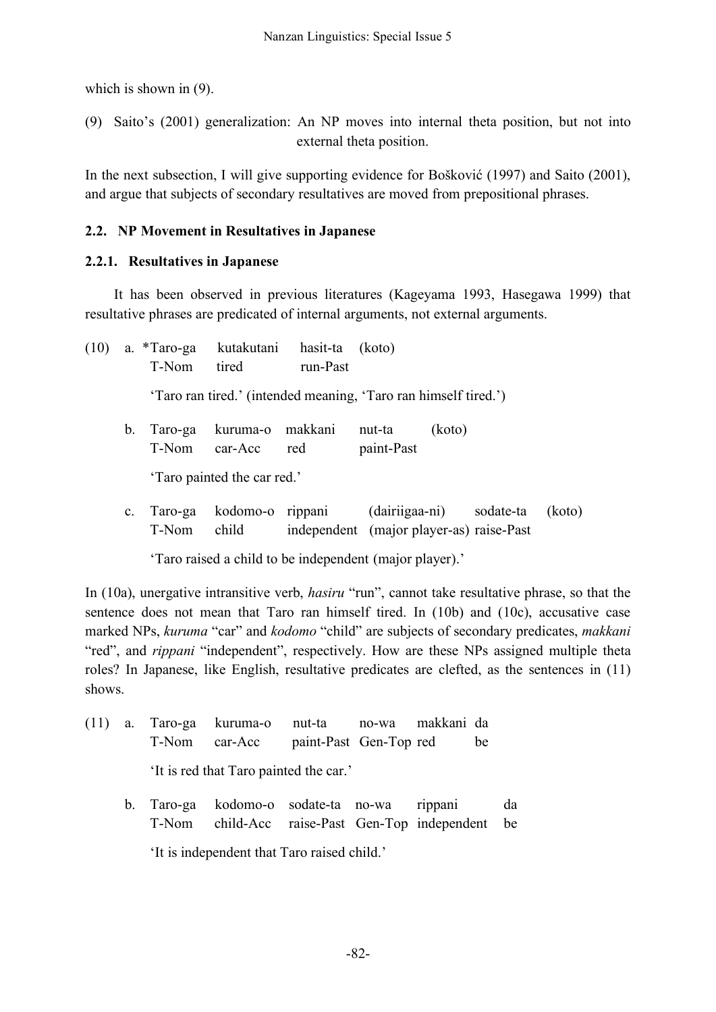which is shown in  $(9)$ .

(9) Saito's (2001) generalization: An NP moves into internal theta position, but not into external theta position.

In the next subsection, I will give supporting evidence for Bošković (1997) and Saito (2001), and argue that subjects of secondary resultatives are moved from prepositional phrases.

# **2.2. NP Movement in Resultatives in Japanese**

## **2.2.1. Resultatives in Japanese**

It has been observed in previous literatures (Kageyama 1993, Hasegawa 1999) that resultative phrases are predicated of internal arguments, not external arguments.

(10) a. \*Taro-ga kutakutani hasit-ta (koto) T-Nom tired run-Past 'Taro ran tired.' (intended meaning, 'Taro ran himself tired.') b. Taro-ga kuruma-o makkani nut-ta (koto) T-Nom car-Acc red paint-Past 'Taro painted the car red.' c. Taro-ga kodomo-o rippani (dairiigaa-ni) sodate-ta (koto)

T-Nom child independent (major player-as) raise-Past

'Taro raised a child to be independent (major player).'

In (10a), unergative intransitive verb, *hasiru* "run", cannot take resultative phrase, so that the sentence does not mean that Taro ran himself tired. In (10b) and (10c), accusative case marked NPs, *kuruma* "car" and *kodomo* "child" are subjects of secondary predicates, *makkani* "red", and *rippani* "independent", respectively. How are these NPs assigned multiple theta roles? In Japanese, like English, resultative predicates are clefted, as the sentences in (11) shows.

- (11) a. Taro-ga kuruma-o nut-ta no-wa makkani da T-Nom car-Acc paint-Past Gen-Top red be 'It is red that Taro painted the car.'
	- b. Taro-ga kodomo-o sodate-ta no-wa rippani da T-Nom child-Acc raise-Past Gen-Top independent be 'It is independent that Taro raised child.'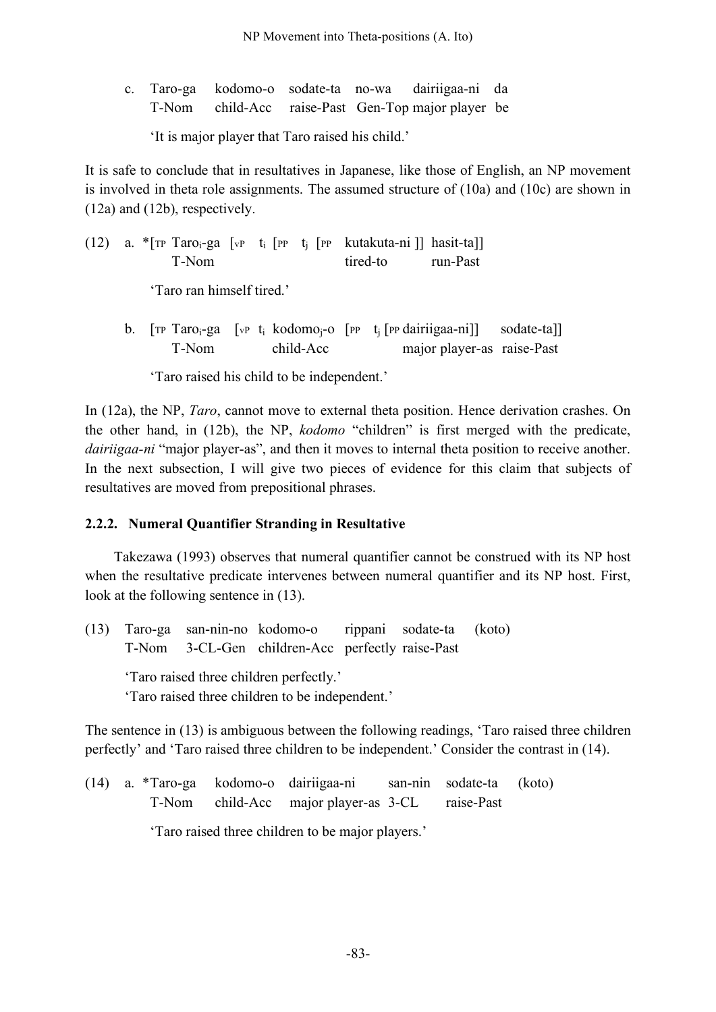c. Taro-ga kodomo-o sodate-ta no-wa dairiigaa-ni da T-Nom child-Acc raise-Past Gen-Top major player be

'It is major player that Taro raised his child.'

It is safe to conclude that in resultatives in Japanese, like those of English, an NP movement is involved in theta role assignments. The assumed structure of (10a) and (10c) are shown in (12a) and (12b), respectively.

|  | $(12)$ a. $\pi$ [TP Taro <sub>i</sub> -ga [vP t <sub>i</sub> [PP t <sub>i</sub> [PP kutakuta-ni]] hasit-ta]]<br>T-Nom             |  |           | tired-to run-Past |                            |  |
|--|-----------------------------------------------------------------------------------------------------------------------------------|--|-----------|-------------------|----------------------------|--|
|  | 'Taro ran himself tired.'                                                                                                         |  |           |                   |                            |  |
|  | b. [TP Taro <sub>i</sub> -ga [vP t <sub>i</sub> kodomo <sub>i</sub> -o [PP t <sub>i</sub> [PP dairiigaa-ni]] sodate-ta]]<br>T-Nom |  | child-Acc |                   | major player-as raise-Past |  |

'Taro raised his child to be independent.'

In (12a), the NP, *Taro*, cannot move to external theta position. Hence derivation crashes. On the other hand, in (12b), the NP, *kodomo* "children" is first merged with the predicate, *dairiigaa-ni* "major player-as", and then it moves to internal theta position to receive another. In the next subsection, I will give two pieces of evidence for this claim that subjects of resultatives are moved from prepositional phrases.

# **2.2.2. Numeral Quantifier Stranding in Resultative**

Takezawa (1993) observes that numeral quantifier cannot be construed with its NP host when the resultative predicate intervenes between numeral quantifier and its NP host. First, look at the following sentence in (13).

(13) Taro-ga san-nin-no kodomo-o rippani sodate-ta (koto) T-Nom 3-CL-Gen children-Acc perfectly raise-Past

'Taro raised three children perfectly.'

'Taro raised three children to be independent.'

The sentence in (13) is ambiguous between the following readings, 'Taro raised three children perfectly' and 'Taro raised three children to be independent.' Consider the contrast in (14).

(14) a. \*Taro-ga kodomo-o dairiigaa-ni san-nin sodate-ta (koto) T-Nom child-Acc major player-as 3-CL raise-Past

'Taro raised three children to be major players.'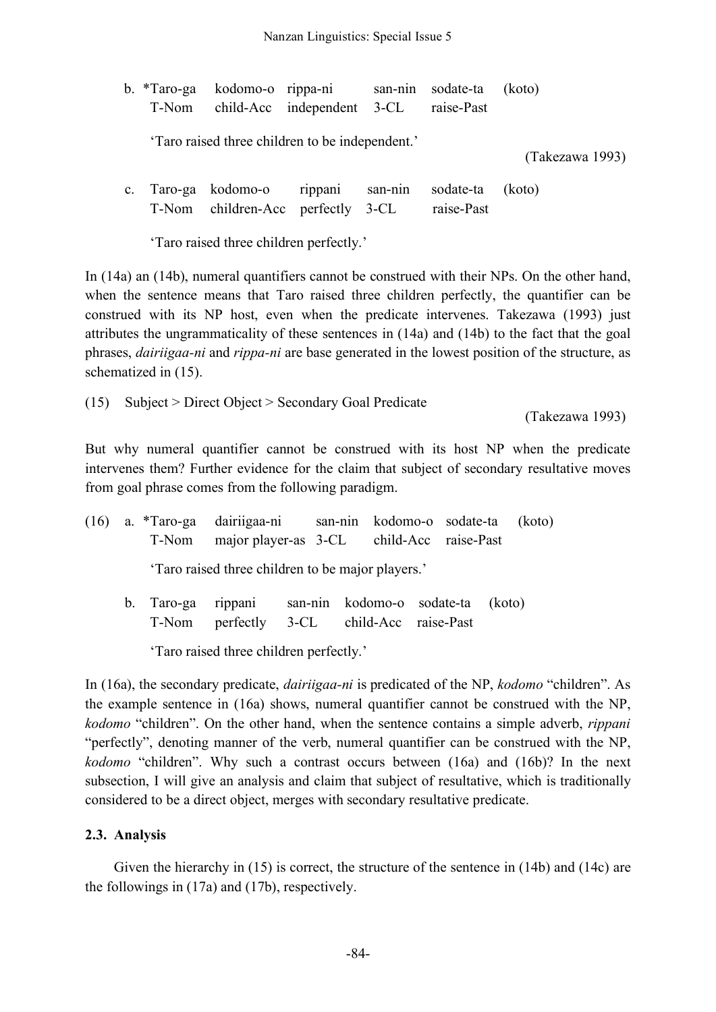|                | b. *Taro-ga kodomo-o rippa-ni san-nin sodate-ta<br>T-Nom child-Acc independent 3-CL |  | raise-Past              | (koto)          |
|----------------|-------------------------------------------------------------------------------------|--|-------------------------|-----------------|
|                | 'Taro raised three children to be independent.'                                     |  |                         | (Takezawa 1993) |
| $\mathbf{c}$ . | Taro-ga kodomo-o rippani san-nin<br>T-Nom children-Acc perfectly 3-CL               |  | sodate-ta<br>raise-Past | (koto)          |

'Taro raised three children perfectly.'

In (14a) an (14b), numeral quantifiers cannot be construed with their NPs. On the other hand, when the sentence means that Taro raised three children perfectly, the quantifier can be construed with its NP host, even when the predicate intervenes. Takezawa (1993) just attributes the ungrammaticality of these sentences in (14a) and (14b) to the fact that the goal phrases, *dairiigaa-ni* and *rippa-ni* are base generated in the lowest position of the structure, as schematized in (15).

(15) Subject > Direct Object > Secondary Goal Predicate

(Takezawa 1993)

But why numeral quantifier cannot be construed with its host NP when the predicate intervenes them? Further evidence for the claim that subject of secondary resultative moves from goal phrase comes from the following paradigm.

| (16) | T-Nom                                   | a. *Taro-ga dairiigaa-ni san-nin kodomo-o sodate-ta (koto)<br>major player-as 3-CL child-Acc raise-Past |                            |  |  |  |  |        |  |
|------|-----------------------------------------|---------------------------------------------------------------------------------------------------------|----------------------------|--|--|--|--|--------|--|
|      |                                         | 'Taro raised three children to be major players.'                                                       |                            |  |  |  |  |        |  |
|      | T-Nom                                   | b. Taro-ga rippani<br>perfectly 3-CL child-Acc raise-Past                                               | san-nin kodomo-o sodate-ta |  |  |  |  | (koto) |  |
|      | 'Taro raised three children perfectly.' |                                                                                                         |                            |  |  |  |  |        |  |

In (16a), the secondary predicate, *dairiigaa-ni* is predicated of the NP, *kodomo* "children". As the example sentence in (16a) shows, numeral quantifier cannot be construed with the NP, *kodomo* "children". On the other hand, when the sentence contains a simple adverb, *rippani* "perfectly", denoting manner of the verb, numeral quantifier can be construed with the NP, *kodomo* "children". Why such a contrast occurs between (16a) and (16b)? In the next subsection, I will give an analysis and claim that subject of resultative, which is traditionally considered to be a direct object, merges with secondary resultative predicate.

# **2.3. Analysis**

Given the hierarchy in (15) is correct, the structure of the sentence in (14b) and (14c) are the followings in (17a) and (17b), respectively.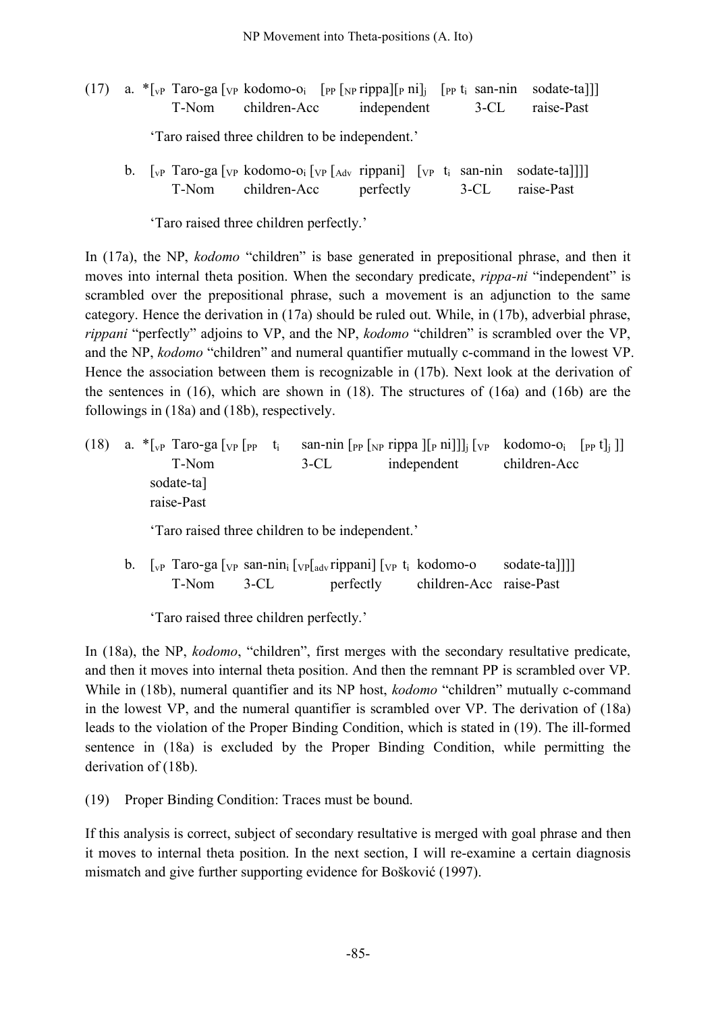- (17) a.  $\sqrt{\sqrt{p}}$  Taro-ga  $[\gamma_P \text{ kodomo-o}_i \quad [\gamma_P \gamma_P \text{rippal}]_p \text{ni}_i \quad [\gamma_P \text{t}_i \text{ san-nin} \quad \text{sodate-ta}]]$ T-Nom children-Acc independent 3-CL raise-Past 'Taro raised three children to be independent.'
	- b.  $\left[\begin{array}{cc} \n\sqrt{p} & \text{Taro-ga} \n\sqrt{p} & \text{kodomo-oi} \n\end{array}\right] \left[\begin{array}{cc} \n\sqrt{p} & \text{tippani} \n\end{array}\right] \left[\begin{array}{cc} \n\sqrt{p} & \text{t}_i \n\end{array} \right] \text{san-nin}$  sodate-talll T-Nom children-Acc perfectly 3-CL raise-Past

'Taro raised three children perfectly.'

In (17a), the NP, *kodomo* "children" is base generated in prepositional phrase, and then it moves into internal theta position. When the secondary predicate, *rippa-ni* "independent" is scrambled over the prepositional phrase, such a movement is an adjunction to the same category. Hence the derivation in (17a) should be ruled out. While, in (17b), adverbial phrase, *rippani* "perfectly" adjoins to VP, and the NP, *kodomo* "children" is scrambled over the VP, and the NP, *kodomo* "children" and numeral quantifier mutually c-command in the lowest VP. Hence the association between them is recognizable in (17b). Next look at the derivation of the sentences in (16), which are shown in (18). The structures of (16a) and (16b) are the followings in (18a) and (18b), respectively.

- (18) a.  $\sqrt{\frac{r}{r}}$  Taro-ga  $\lceil v \rceil$  [pp t<sub>i</sub> san-nin  $\lceil p \rceil$  [pp t][p ni]]]<sub>j</sub>  $\lceil v \rceil$  kodomo-o<sub>i</sub>  $\lceil p \rceil$ t]<sub>j</sub>]] T-Nom 3-CL independent children-Acc sodate-ta] raise-Past 'Taro raised three children to be independent.'
	- b.  $\lceil v \rceil$  Taro-ga  $\lceil v \rceil$  san-nin<sub>i</sub>  $\lceil v \rceil$ <sub>adv</sub> rippani $\lceil v \rceil$  t<sub>i</sub> kodomo-o sodate-ta]]] T-Nom 3-CL perfectly children-Acc raise-Past

'Taro raised three children perfectly.'

In (18a), the NP, *kodomo*, "children", first merges with the secondary resultative predicate, and then it moves into internal theta position. And then the remnant PP is scrambled over VP. While in (18b), numeral quantifier and its NP host, *kodomo* "children" mutually c-command in the lowest VP, and the numeral quantifier is scrambled over VP. The derivation of (18a) leads to the violation of the Proper Binding Condition, which is stated in (19). The ill-formed sentence in (18a) is excluded by the Proper Binding Condition, while permitting the derivation of (18b).

(19) Proper Binding Condition: Traces must be bound.

If this analysis is correct, subject of secondary resultative is merged with goal phrase and then it moves to internal theta position. In the next section, I will re-examine a certain diagnosis mismatch and give further supporting evidence for Bošković (1997).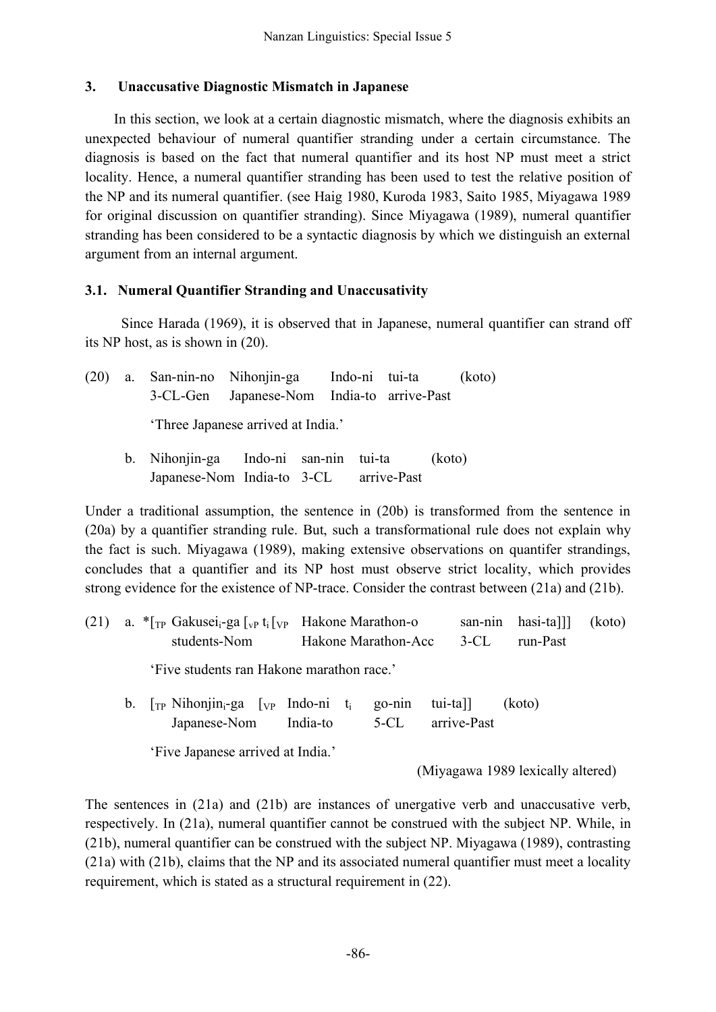### **3. Unaccusative Diagnostic Mismatch in Japanese**

In this section, we look at a certain diagnostic mismatch, where the diagnosis exhibits an unexpected behaviour of numeral quantifier stranding under a certain circumstance. The diagnosis is based on the fact that numeral quantifier and its host NP must meet a strict locality. Hence, a numeral quantifier stranding has been used to test the relative position of the NP and its numeral quantifier. (see Haig 1980, Kuroda 1983, Saito 1985, Miyagawa 1989 for original discussion on quantifier stranding). Since Miyagawa (1989), numeral quantifier stranding has been considered to be a syntactic diagnosis by which we distinguish an external argument from an internal argument.

# **3.1. Numeral Quantifier Stranding and Unaccusativity**

Since Harada (1969), it is observed that in Japanese, numeral quantifier can strand off its NP host, as is shown in (20).

| (20) | a. San-nin-no Nihonjin-ga Indo-ni tui-ta                                        |  |                                            |  | (koto)                                                                             |  |
|------|---------------------------------------------------------------------------------|--|--------------------------------------------|--|------------------------------------------------------------------------------------|--|
|      |                                                                                 |  | 3-CL-Gen Japanese-Nom India-to arrive-Past |  |                                                                                    |  |
|      | 'Three Japanese arrived at India.'                                              |  |                                            |  |                                                                                    |  |
|      | b. Nihonjin-ga Indo-ni san-nin tui-ta<br>Japanese-Nom India-to 3-CL arrive-Past |  |                                            |  | (koto)                                                                             |  |
|      |                                                                                 |  |                                            |  | The decomposition of commention the contened in $(201)$ is the effective different |  |

Under a traditional assumption, the sentence in (20b) is transformed from the sentence in (20a) by a quantifier stranding rule. But, such a transformational rule does not explain why the fact is such. Miyagawa (1989), making extensive observations on quantifer strandings, concludes that a quantifier and its NP host must observe strict locality, which provides strong evidence for the existence of NP-trace. Consider the contrast between (21a) and (21b).

| students-Nom |                           |                                                                                                             | $3-CL$                                                                               | san-nin hasi-tall<br>run-Past | (koto) |
|--------------|---------------------------|-------------------------------------------------------------------------------------------------------------|--------------------------------------------------------------------------------------|-------------------------------|--------|
|              |                           |                                                                                                             |                                                                                      |                               |        |
| Japanese-Nom |                           |                                                                                                             |                                                                                      |                               |        |
|              | $\mathbf{r}$ $\mathbf{r}$ | b. $[T_P \text{Nihonjin}_i\text{-}ga$ $[y_P \text{Indo-ni } t_i]$<br>India-to<br>$\cdots$ $\cdots$ $\cdots$ | Hakone Marathon-Acc<br>'Five students ran Hakone marathon race.'<br>go-nin<br>$5-CL$ | tui-ta]]<br>arrive-Past       | (koto) |

'Five Japanese arrived at India.'

(Miyagawa 1989 lexically altered)

The sentences in (21a) and (21b) are instances of unergative verb and unaccusative verb, respectively. In (21a), numeral quantifier cannot be construed with the subject NP. While, in (21b), numeral quantifier can be construed with the subject NP. Miyagawa (1989), contrasting (21a) with (21b), claims that the NP and its associated numeral quantifier must meet a locality requirement, which is stated as a structural requirement in (22).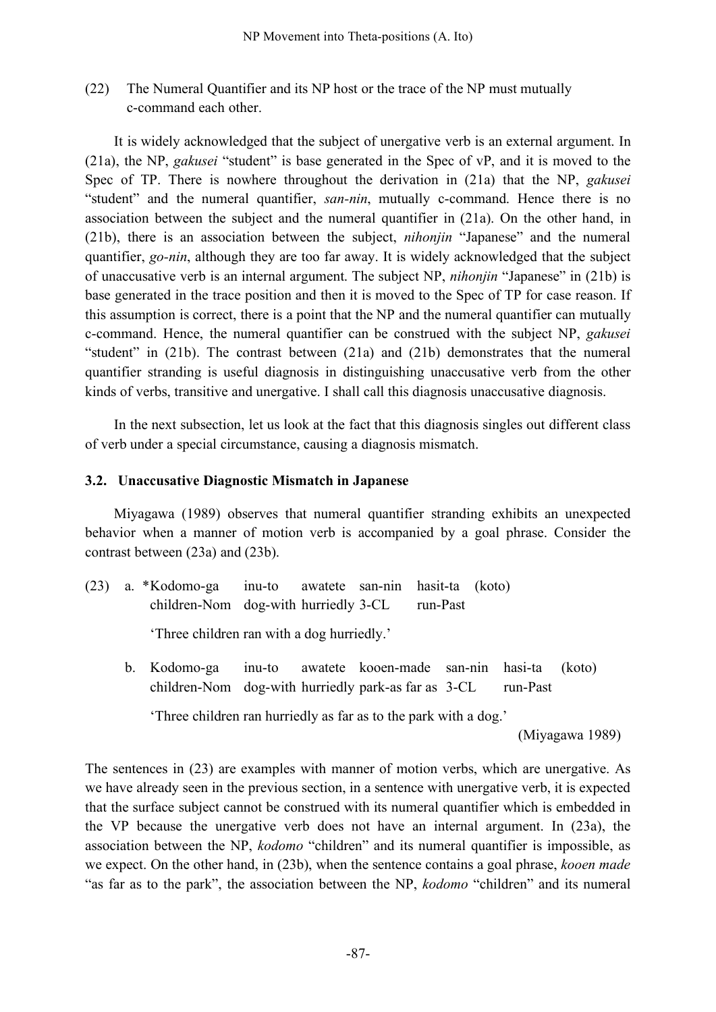(22) The Numeral Quantifier and its NP host or the trace of the NP must mutually c-command each other.

It is widely acknowledged that the subject of unergative verb is an external argument. In (21a), the NP, *gakusei* "student" is base generated in the Spec of vP, and it is moved to the Spec of TP. There is nowhere throughout the derivation in (21a) that the NP, *gakusei* "student" and the numeral quantifier, *san-nin*, mutually c-command. Hence there is no association between the subject and the numeral quantifier in (21a). On the other hand, in (21b), there is an association between the subject, *nihonjin* "Japanese" and the numeral quantifier, *go-nin*, although they are too far away. It is widely acknowledged that the subject of unaccusative verb is an internal argument. The subject NP, *nihonjin* "Japanese" in (21b) is base generated in the trace position and then it is moved to the Spec of TP for case reason. If this assumption is correct, there is a point that the NP and the numeral quantifier can mutually c-command. Hence, the numeral quantifier can be construed with the subject NP, *gakusei* "student" in (21b). The contrast between (21a) and (21b) demonstrates that the numeral quantifier stranding is useful diagnosis in distinguishing unaccusative verb from the other kinds of verbs, transitive and unergative. I shall call this diagnosis unaccusative diagnosis.

In the next subsection, let us look at the fact that this diagnosis singles out different class of verb under a special circumstance, causing a diagnosis mismatch.

#### **3.2. Unaccusative Diagnostic Mismatch in Japanese**

Miyagawa (1989) observes that numeral quantifier stranding exhibits an unexpected behavior when a manner of motion verb is accompanied by a goal phrase. Consider the contrast between (23a) and (23b).

(23) a. \*Kodomo-ga inu-to awatete san-nin hasit-ta (koto) children-Nom dog-with hurriedly 3-CL run-Past

'Three children ran with a dog hurriedly.'

b. Kodomo-ga inu-to awatete kooen-made san-nin hasi-ta (koto) children-Nom dog-with hurriedly park-as far as 3-CL run-Past

'Three children ran hurriedly as far as to the park with a dog.'

(Miyagawa 1989)

The sentences in (23) are examples with manner of motion verbs, which are unergative. As we have already seen in the previous section, in a sentence with unergative verb, it is expected that the surface subject cannot be construed with its numeral quantifier which is embedded in the VP because the unergative verb does not have an internal argument. In (23a), the association between the NP, *kodomo* "children" and its numeral quantifier is impossible, as we expect. On the other hand, in (23b), when the sentence contains a goal phrase, *kooen made* "as far as to the park", the association between the NP, *kodomo* "children" and its numeral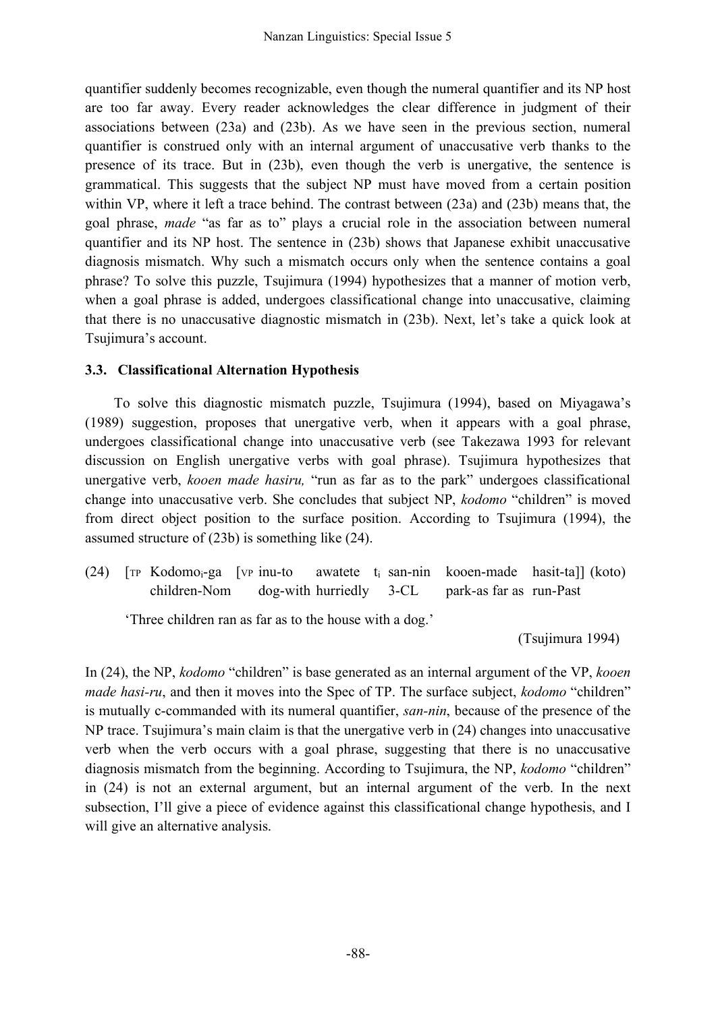quantifier suddenly becomes recognizable, even though the numeral quantifier and its NP host are too far away. Every reader acknowledges the clear difference in judgment of their associations between (23a) and (23b). As we have seen in the previous section, numeral quantifier is construed only with an internal argument of unaccusative verb thanks to the presence of its trace. But in (23b), even though the verb is unergative, the sentence is grammatical. This suggests that the subject NP must have moved from a certain position within VP, where it left a trace behind. The contrast between (23a) and (23b) means that, the goal phrase, *made* "as far as to" plays a crucial role in the association between numeral quantifier and its NP host. The sentence in (23b) shows that Japanese exhibit unaccusative diagnosis mismatch. Why such a mismatch occurs only when the sentence contains a goal phrase? To solve this puzzle, Tsujimura (1994) hypothesizes that a manner of motion verb, when a goal phrase is added, undergoes classificational change into unaccusative, claiming that there is no unaccusative diagnostic mismatch in (23b). Next, let's take a quick look at Tsujimura's account.

## **3.3. Classificational Alternation Hypothesis**

To solve this diagnostic mismatch puzzle, Tsujimura (1994), based on Miyagawa's (1989) suggestion, proposes that unergative verb, when it appears with a goal phrase, undergoes classificational change into unaccusative verb (see Takezawa 1993 for relevant discussion on English unergative verbs with goal phrase). Tsujimura hypothesizes that unergative verb, *kooen made hasiru,* "run as far as to the park" undergoes classificational change into unaccusative verb. She concludes that subject NP, *kodomo* "children" is moved from direct object position to the surface position. According to Tsujimura (1994), the assumed structure of (23b) is something like (24).

(24)  $\lceil \text{TP Kodomo}_i\text{-ga} \rceil$  (vp inu-to awatete t<sub>i</sub> san-nin kooen-made hasit-ta]] (koto) children-Nom dog-with hurriedly 3-CL park-as far as run-Past

'Three children ran as far as to the house with a dog.'

(Tsujimura 1994)

In (24), the NP, *kodomo* "children" is base generated as an internal argument of the VP, *kooen made hasi-ru*, and then it moves into the Spec of TP. The surface subject, *kodomo* "children" is mutually c-commanded with its numeral quantifier, *san-nin*, because of the presence of the NP trace. Tsujimura's main claim is that the unergative verb in (24) changes into unaccusative verb when the verb occurs with a goal phrase, suggesting that there is no unaccusative diagnosis mismatch from the beginning. According to Tsujimura, the NP, *kodomo* "children" in (24) is not an external argument, but an internal argument of the verb. In the next subsection, I'll give a piece of evidence against this classificational change hypothesis, and I will give an alternative analysis.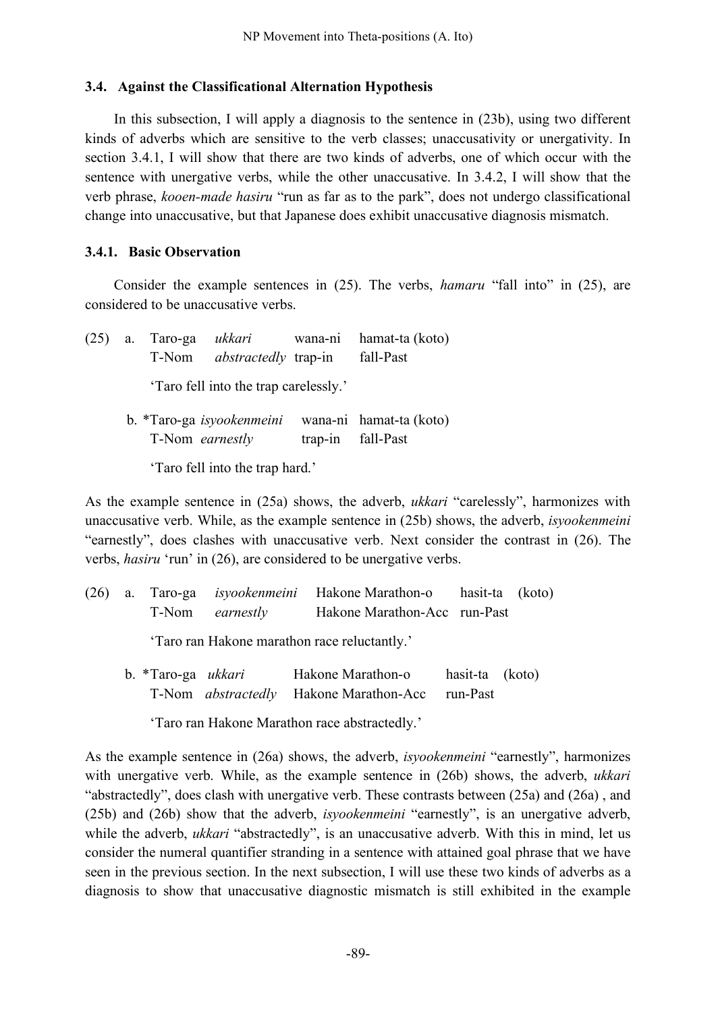#### **3.4. Against the Classificational Alternation Hypothesis**

In this subsection, I will apply a diagnosis to the sentence in (23b), using two different kinds of adverbs which are sensitive to the verb classes; unaccusativity or unergativity. In section 3.4.1, I will show that there are two kinds of adverbs, one of which occur with the sentence with unergative verbs, while the other unaccusative. In 3.4.2, I will show that the verb phrase, *kooen-made hasiru* "run as far as to the park", does not undergo classificational change into unaccusative, but that Japanese does exhibit unaccusative diagnosis mismatch.

#### **3.4.1. Basic Observation**

Consider the example sentences in (25). The verbs, *hamaru* "fall into" in (25), are considered to be unaccusative verbs.

|  |                 |                                       | (25) a. Taro-ga <i>ukkari</i> wana-ni hamat-ta (koto)    |
|--|-----------------|---------------------------------------|----------------------------------------------------------|
|  |                 | T-Nom <i>abstractedly</i> trap-in     | fall-Past                                                |
|  |                 | 'Taro fell into the trap carelessly.' |                                                          |
|  |                 |                                       | b. *Taro-ga <i>isyookenmeini</i> wana-ni hamat-ta (koto) |
|  | T-Nom earnestly |                                       | trap-in fall-Past                                        |

'Taro fell into the trap hard.'

As the example sentence in (25a) shows, the adverb, *ukkari* "carelessly", harmonizes with unaccusative verb. While, as the example sentence in (25b) shows, the adverb, *isyookenmeini* "earnestly", does clashes with unaccusative verb. Next consider the contrast in (26). The verbs, *hasiru* 'run' in (26), are considered to be unergative verbs.

|  |                           |                        | (26) a. Taro-ga <i>isyookenmeini</i> Hakone-Marathon-o hasit-ta (koto) |                 |  |
|--|---------------------------|------------------------|------------------------------------------------------------------------|-----------------|--|
|  |                           | T-Nom <i>earnestly</i> | Hakone Marathon-Acc run-Past                                           |                 |  |
|  |                           |                        | 'Taro ran Hakone marathon race reluctantly.'                           |                 |  |
|  | b. *Taro-ga <i>ukkari</i> |                        | Hakone Marathon-o                                                      | hasit-ta (koto) |  |
|  |                           |                        |                                                                        |                 |  |

T-Nom *abstractedly* Hakone Marathon-Acc run-Past

'Taro ran Hakone Marathon race abstractedly.'

As the example sentence in (26a) shows, the adverb, *isyookenmeini* "earnestly", harmonizes with unergative verb. While, as the example sentence in (26b) shows, the adverb, *ukkari* "abstractedly", does clash with unergative verb. These contrasts between (25a) and (26a) , and (25b) and (26b) show that the adverb, *isyookenmeini* "earnestly", is an unergative adverb, while the adverb, *ukkari* "abstractedly", is an unaccusative adverb. With this in mind, let us consider the numeral quantifier stranding in a sentence with attained goal phrase that we have seen in the previous section. In the next subsection, I will use these two kinds of adverbs as a diagnosis to show that unaccusative diagnostic mismatch is still exhibited in the example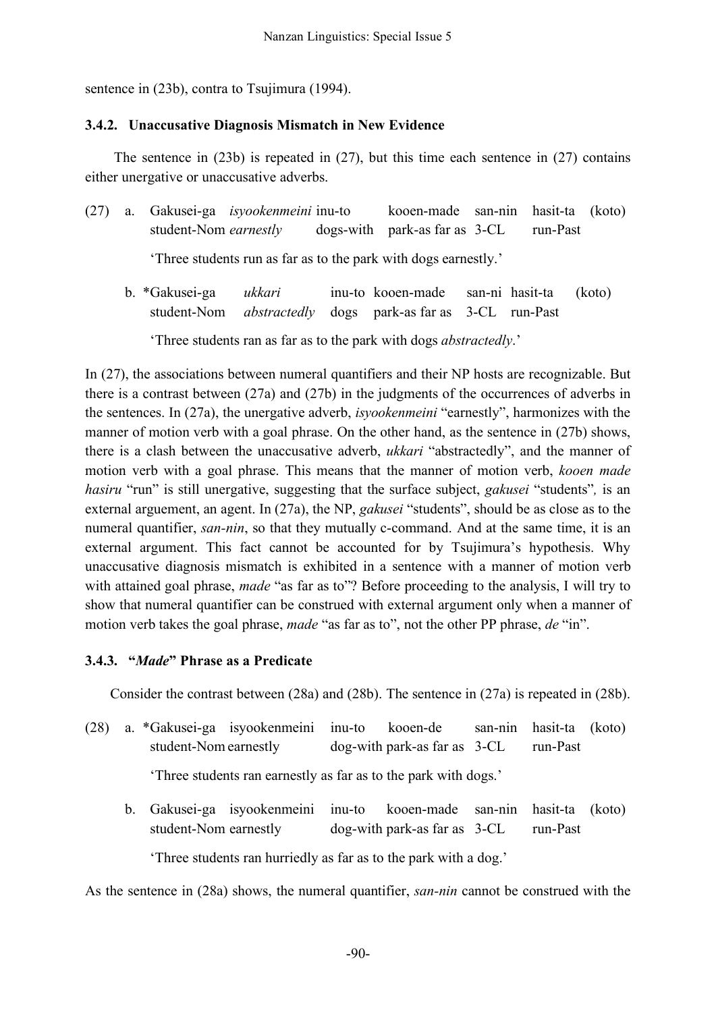sentence in (23b), contra to Tsujimura (1994).

#### **3.4.2. Unaccusative Diagnosis Mismatch in New Evidence**

The sentence in (23b) is repeated in (27), but this time each sentence in (27) contains either unergative or unaccusative adverbs.

- (27) a. Gakusei-ga *isyookenmeini* inu-to kooen-made san-nin hasit-ta (koto) student-Nom *earnestly* dogs-with park-as far as 3-CL run-Past 'Three students run as far as to the park with dogs earnestly.'
	- b. \*Gakusei-ga *ukkari* inu-to kooen-made san-ni hasit-ta (koto) student-Nom *abstractedly* dogs park-as far as 3-CL run-Past

'Three students ran as far as to the park with dogs *abstractedly*.'

In (27), the associations between numeral quantifiers and their NP hosts are recognizable. But there is a contrast between (27a) and (27b) in the judgments of the occurrences of adverbs in the sentences. In (27a), the unergative adverb, *isyookenmeini* "earnestly", harmonizes with the manner of motion verb with a goal phrase. On the other hand, as the sentence in (27b) shows, there is a clash between the unaccusative adverb, *ukkari* "abstractedly", and the manner of motion verb with a goal phrase. This means that the manner of motion verb, *kooen made hasiru* "run" is still unergative, suggesting that the surface subject, *gakusei* "students"*,* is an external arguement, an agent. In (27a), the NP, *gakusei* "students", should be as close as to the numeral quantifier, *san-nin*, so that they mutually c-command. And at the same time, it is an external argument. This fact cannot be accounted for by Tsujimura's hypothesis. Why unaccusative diagnosis mismatch is exhibited in a sentence with a manner of motion verb with attained goal phrase, *made* "as far as to"? Before proceeding to the analysis, I will try to show that numeral quantifier can be construed with external argument only when a manner of motion verb takes the goal phrase, *made* "as far as to", not the other PP phrase, *de* "in".

### **3.4.3. "***Made***" Phrase as a Predicate**

Consider the contrast between (28a) and (28b). The sentence in (27a) is repeated in (28b).

(28) a. \*Gakusei-ga isyookenmeini inu-to kooen-de san-nin hasit-ta (koto) student-Nom earnestly dog-with park-as far as  $3-CL$  run-Past

'Three students ran earnestly as far as to the park with dogs.'

b. Gakusei-ga isyookenmeini inu-to kooen-made san-nin hasit-ta (koto) student-Nom earnestly dog-with park-as far as  $3-CL$  run-Past

'Three students ran hurriedly as far as to the park with a dog.'

As the sentence in (28a) shows, the numeral quantifier, *san-nin* cannot be construed with the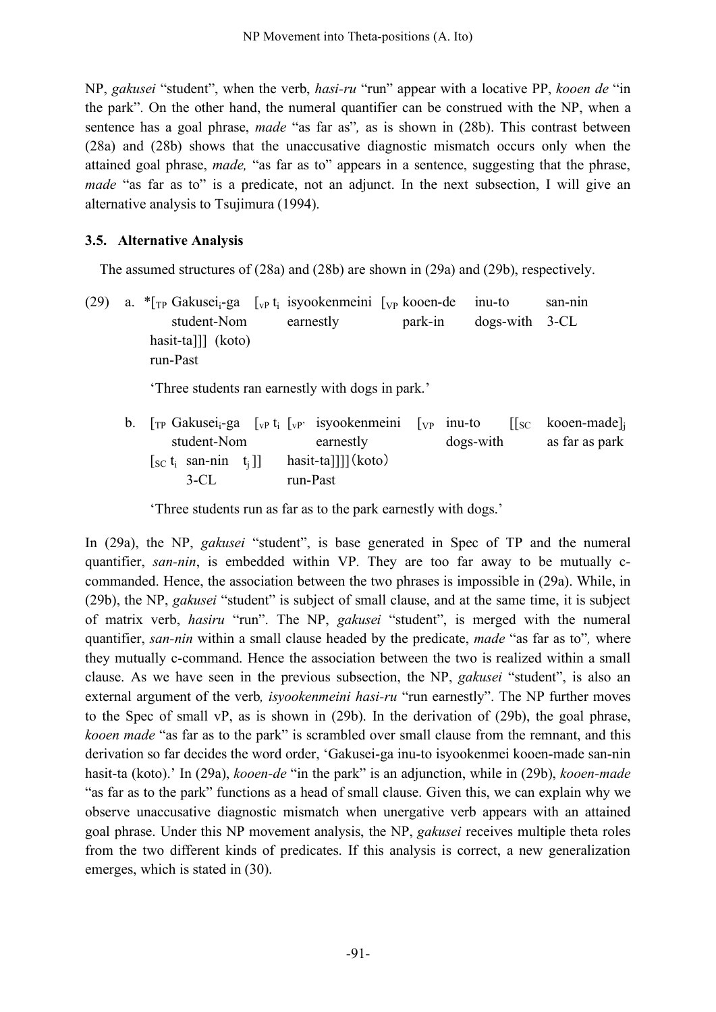NP, *gakusei* "student", when the verb, *hasi-ru* "run" appear with a locative PP, *kooen de* "in the park". On the other hand, the numeral quantifier can be construed with the NP, when a sentence has a goal phrase, *made* "as far as"*,* as is shown in (28b). This contrast between (28a) and (28b) shows that the unaccusative diagnostic mismatch occurs only when the attained goal phrase, *made,* "as far as to" appears in a sentence, suggesting that the phrase, *made* "as far as to" is a predicate, not an adjunct. In the next subsection, I will give an alternative analysis to Tsujimura (1994).

## **3.5. Alternative Analysis**

The assumed structures of (28a) and (28b) are shown in (29a) and (29b), respectively.

(29) a.  $\binom{[T]}{[T]}$  Gakusei<sub>i</sub>-ga  $\binom{[T]}{[T]}$  isyookenmeini  $\binom{[T]}{[T]}$  kooen-de inu-to san-nin student-Nom earnestly park-in dogs-with 3-CL hasit-ta]]] (koto) run-Past 'Three students ran earnestly with dogs in park.' b.  $[\text{TP Gakusei}_i$ -ga  $[\text{VP}, t_i]$   $[\text{VP}, t_i]$  isyookenmeini  $[\text{VP}, t_i]$  inu-to  $[[\text{SC Kooen-made}]$ student-Nom earnestly dogs-with as far as park  $[sC t_i \quad \text{san-nin} \quad t_i]]$  has it-ta]]][(koto) 3-CL run-Past

'Three students run as far as to the park earnestly with dogs.'

In (29a), the NP, *gakusei* "student", is base generated in Spec of TP and the numeral quantifier, *san-nin*, is embedded within VP. They are too far away to be mutually ccommanded. Hence, the association between the two phrases is impossible in (29a). While, in (29b), the NP, *gakusei* "student" is subject of small clause, and at the same time, it is subject of matrix verb, *hasiru* "run". The NP, *gakusei* "student", is merged with the numeral quantifier, *san-nin* within a small clause headed by the predicate, *made* "as far as to"*,* where they mutually c-command. Hence the association between the two is realized within a small clause. As we have seen in the previous subsection, the NP, *gakusei* "student", is also an external argument of the verb*, isyookenmeini hasi-ru* "run earnestly". The NP further moves to the Spec of small vP, as is shown in (29b). In the derivation of (29b), the goal phrase, *kooen made* "as far as to the park" is scrambled over small clause from the remnant, and this derivation so far decides the word order, 'Gakusei-ga inu-to isyookenmei kooen-made san-nin hasit-ta (koto).' In (29a), *kooen-de* "in the park" is an adjunction, while in (29b), *kooen-made* "as far as to the park" functions as a head of small clause. Given this, we can explain why we observe unaccusative diagnostic mismatch when unergative verb appears with an attained goal phrase. Under this NP movement analysis, the NP, *gakusei* receives multiple theta roles from the two different kinds of predicates. If this analysis is correct, a new generalization emerges, which is stated in (30).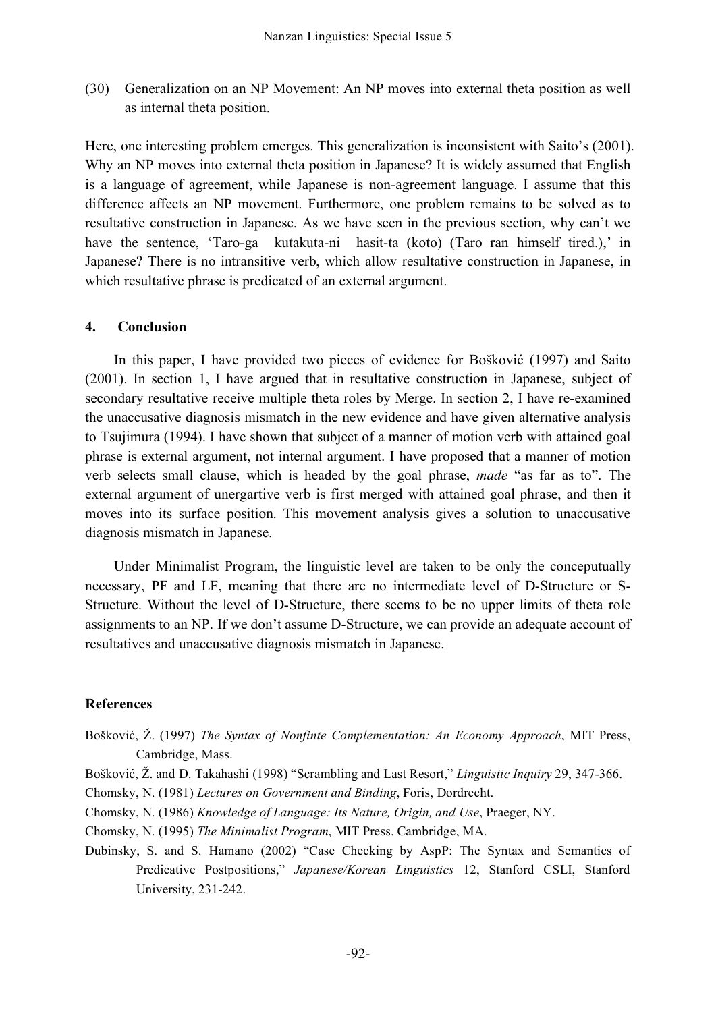(30) Generalization on an NP Movement: An NP moves into external theta position as well as internal theta position.

Here, one interesting problem emerges. This generalization is inconsistent with Saito's (2001). Why an NP moves into external theta position in Japanese? It is widely assumed that English is a language of agreement, while Japanese is non-agreement language. I assume that this difference affects an NP movement. Furthermore, one problem remains to be solved as to resultative construction in Japanese. As we have seen in the previous section, why can't we have the sentence, 'Taro-ga kutakuta-ni hasit-ta (koto) (Taro ran himself tired.),' in Japanese? There is no intransitive verb, which allow resultative construction in Japanese, in which resultative phrase is predicated of an external argument.

#### **4. Conclusion**

In this paper, I have provided two pieces of evidence for Bošković (1997) and Saito (2001). In section 1, I have argued that in resultative construction in Japanese, subject of secondary resultative receive multiple theta roles by Merge. In section 2, I have re-examined the unaccusative diagnosis mismatch in the new evidence and have given alternative analysis to Tsujimura (1994). I have shown that subject of a manner of motion verb with attained goal phrase is external argument, not internal argument. I have proposed that a manner of motion verb selects small clause, which is headed by the goal phrase, *made* "as far as to". The external argument of unergartive verb is first merged with attained goal phrase, and then it moves into its surface position. This movement analysis gives a solution to unaccusative diagnosis mismatch in Japanese.

Under Minimalist Program, the linguistic level are taken to be only the conceputually necessary, PF and LF, meaning that there are no intermediate level of D-Structure or S-Structure. Without the level of D-Structure, there seems to be no upper limits of theta role assignments to an NP. If we don't assume D-Structure, we can provide an adequate account of resultatives and unaccusative diagnosis mismatch in Japanese.

### **References**

- Bošković, Ž. (1997) *The Syntax of Nonfinte Complementation: An Economy Approach*, MIT Press, Cambridge, Mass.
- Bošković, Ž. and D. Takahashi (1998) "Scrambling and Last Resort," *Linguistic Inquiry* 29, 347-366.
- Chomsky, N. (1981) *Lectures on Government and Binding*, Foris, Dordrecht.
- Chomsky, N. (1986) *Knowledge of Language: Its Nature, Origin, and Use*, Praeger, NY.
- Chomsky, N. (1995) *The Minimalist Program*, MIT Press. Cambridge, MA.
- Dubinsky, S. and S. Hamano (2002) "Case Checking by AspP: The Syntax and Semantics of Predicative Postpositions," *Japanese/Korean Linguistics* 12, Stanford CSLI, Stanford University, 231-242.